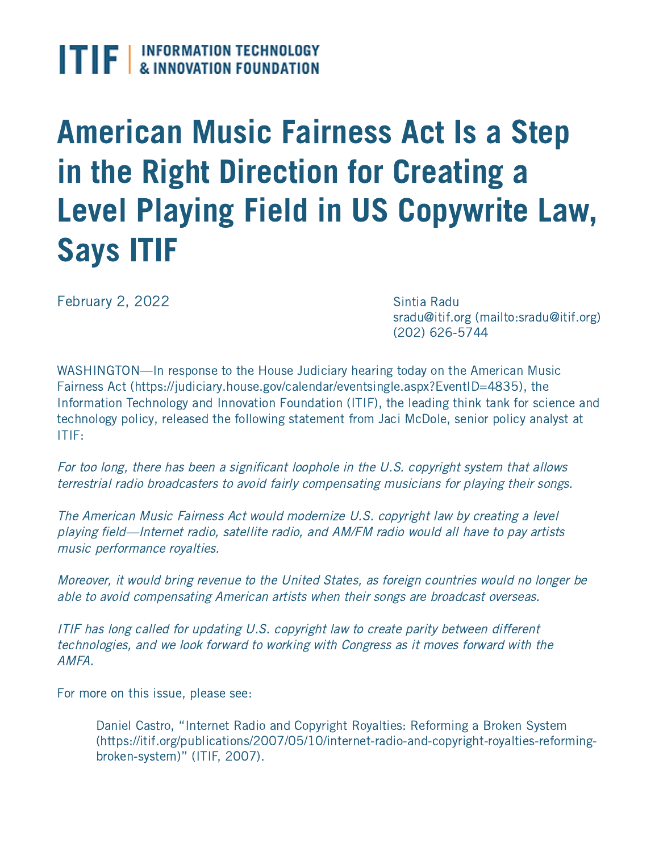## $\textbf{I}$   $\textbf{F}$   $\textbf{F}$  information technology

## American Music Fairness Act Is a Step in the Right Direction for Creating a Level Playing Field in US Copywrite Law, Says ITIF

February 2, 2022

Sintia Radu sradu@itif.org [\(mailto:sradu@itif.org\)](mailto:sradu@itif.org) (202) 626-5744

WASHINGTON—In response to the House Judiciary hearing today on the American Music Fairness Act [\(https://judiciary.house.gov/calendar/eventsingle.aspx?EventID=4835\),](https://judiciary.house.gov/calendar/eventsingle.aspx?EventID=4835) the Information Technology and Innovation Foundation (ITIF), the leading think tank for science and technology policy, released the following statement from Jaci McDole, senior policy analyst at ITIF:

For too long, there has been a significant loophole in the U.S. copyright system that allows terrestrial radio broadcasters to avoid fairly compensating musicians for playing their songs.

The American Music Fairness Act would modernize U.S. copyright law by creating a level playing field—Internet radio, satellite radio, and AM/FM radio would all have to pay artists music performance royalties.

Moreover, it would bring revenue to the United States, as foreign countries would no longer be able to avoid compensating American artists when their songs are broadcast overseas.

ITIF has long called for updating U.S. copyright law to create parity between different technologies, and we look forward to working with Congress as it moves forward with the AMFA.

For more on this issue, please see:

Daniel Castro, "Internet Radio and Copyright Royalties: Reforming a Broken System [\(https://itif.org/publications/2007/05/10/internet-radio-and-copyright-royalties-reforming](https://itif.org/publications/2007/05/10/internet-radio-and-copyright-royalties-reforming-broken-system)broken-system)" (ITIF, 2007).